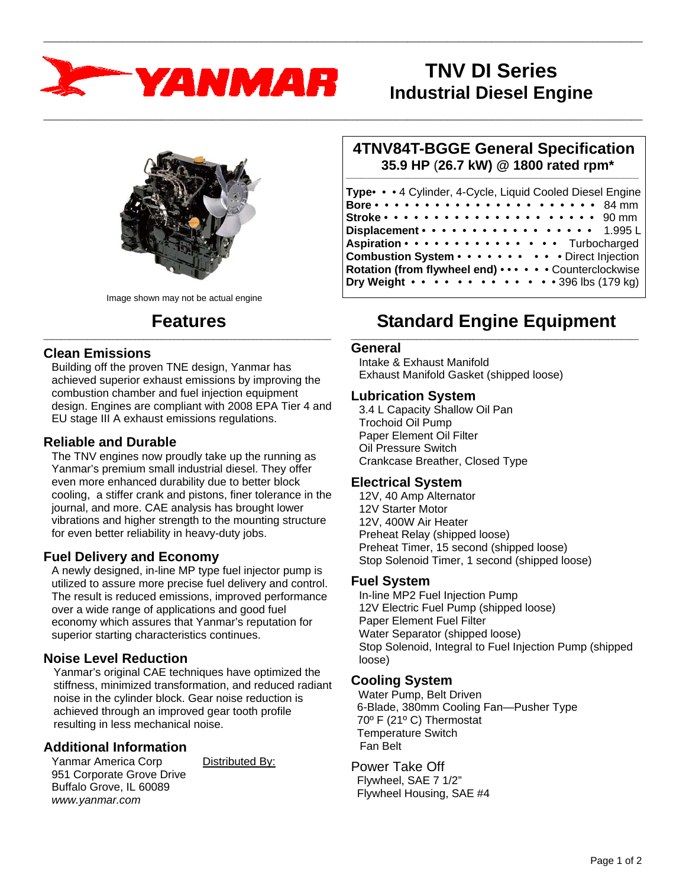

# **TNV DI Series Industrial Diesel Engine**



Image shown may not be actual engine

#### **Features** \_\_\_\_\_\_\_\_\_\_\_\_\_\_\_\_\_\_\_\_\_\_\_\_\_\_\_\_\_\_\_\_\_\_\_\_\_\_\_\_\_\_\_\_\_\_\_\_\_\_\_\_\_\_\_\_\_\_\_\_\_\_\_\_\_\_

# **Clean Emissions**

Building off the proven TNE design, Yanmar has achieved superior exhaust emissions by improving the combustion chamber and fuel injection equipment design. Engines are compliant with 2008 EPA Tier 4 and EU stage III A exhaust emissions regulations.

# **Reliable and Durable**

The TNV engines now proudly take up the running as Yanmar's premium small industrial diesel. They offer even more enhanced durability due to better block cooling, a stiffer crank and pistons, finer tolerance in the journal, and more. CAE analysis has brought lower vibrations and higher strength to the mounting structure for even better reliability in heavy-duty jobs.

# **Fuel Delivery and Economy**

A newly designed, in-line MP type fuel injector pump is utilized to assure more precise fuel delivery and control. The result is reduced emissions, improved performance over a wide range of applications and good fuel economy which assures that Yanmar's reputation for superior starting characteristics continues.

# **Noise Level Reduction**

Yanmar's original CAE techniques have optimized the stiffness, minimized transformation, and reduced radiant noise in the cylinder block. Gear noise reduction is achieved through an improved gear tooth profile resulting in less mechanical noise.

# **Additional Information**

Yanmar America Corp Distributed By: 951 Corporate Grove Drive Buffalo Grove, IL 60089 *www.yanmar.com* 

#### **4TNV84T-BGGE General Specification 35.9 HP** (**26.7 kW) @ 1800 rated rpm\***  $\_$  ,  $\_$  ,  $\_$  ,  $\_$  ,  $\_$  ,  $\_$  ,  $\_$  ,  $\_$  ,  $\_$  ,  $\_$  ,  $\_$  ,  $\_$  ,  $\_$  ,  $\_$  ,  $\_$  ,  $\_$  ,  $\_$  ,  $\_$  ,  $\_$  ,  $\_$  ,  $\_$  ,  $\_$  ,  $\_$  ,  $\_$  ,  $\_$  ,  $\_$  ,  $\_$  ,  $\_$  ,  $\_$  ,  $\_$  ,  $\_$  ,  $\_$  ,  $\_$  ,  $\_$  ,  $\_$  ,  $\_$  ,  $\_$  ,

| Type• • • 4 Cylinder, 4-Cycle, Liquid Cooled Diesel Engine                                                              |  |
|-------------------------------------------------------------------------------------------------------------------------|--|
|                                                                                                                         |  |
| Stroke $\cdots$ $\cdots$ $\cdots$ $\cdots$ $\cdots$ $\cdots$ $\cdots$ $\cdots$ 90 mm                                    |  |
| Displacement $\cdots$ 1.995 L                                                                                           |  |
| Aspiration • • • • • • • • • • • • • • • Turbocharged                                                                   |  |
| Combustion System • • • • • • • • • Direct Injection                                                                    |  |
| Rotation (from flywheel end)  Counterclockwise                                                                          |  |
| Dry Weight $\cdot \cdot \cdot \cdot \cdot \cdot \cdot \cdot \cdot \cdot \cdot \cdot \cdot \cdot \cdot 396$ lbs (179 kg) |  |

## **Standard Engine Equipment** \_\_\_\_\_\_\_\_\_\_\_\_\_\_\_\_\_\_\_\_\_\_\_\_\_\_\_\_\_\_\_\_\_\_\_\_\_\_\_\_\_\_\_\_\_\_\_\_\_\_\_\_\_\_\_\_\_\_\_\_\_\_\_\_\_\_

#### **General**

\_\_\_\_\_\_\_\_\_\_\_\_\_\_\_\_\_\_\_\_\_\_\_\_\_\_\_\_\_\_\_\_\_\_\_\_\_\_\_\_\_\_\_\_\_\_\_\_\_\_\_\_\_\_\_\_\_\_\_\_\_\_\_\_\_\_\_\_\_\_\_\_\_\_\_\_\_\_\_\_\_\_\_\_\_\_\_\_\_\_\_\_\_\_\_\_\_\_\_\_\_\_\_\_\_\_\_

\_\_\_\_\_\_\_\_\_\_\_\_\_\_\_\_\_\_\_\_\_\_\_\_\_\_\_\_\_\_\_\_\_\_\_\_\_\_\_\_\_\_\_\_\_\_\_\_\_\_\_\_\_\_\_\_\_\_\_\_\_\_\_\_\_\_\_\_\_\_\_\_\_\_\_\_\_\_\_\_\_\_\_\_\_\_\_\_\_\_\_\_\_\_\_\_\_\_\_\_\_\_\_\_\_\_\_

Intake & Exhaust Manifold Exhaust Manifold Gasket (shipped loose)

## **Lubrication System**

3.4 L Capacity Shallow Oil Pan Trochoid Oil Pump Paper Element Oil Filter Oil Pressure Switch Crankcase Breather, Closed Type

## **Electrical System**

12V, 40 Amp Alternator 12V Starter Motor 12V, 400W Air Heater Preheat Relay (shipped loose) Preheat Timer, 15 second (shipped loose) Stop Solenoid Timer, 1 second (shipped loose)

## **Fuel System**

In-line MP2 Fuel Injection Pump 12V Electric Fuel Pump (shipped loose) Paper Element Fuel Filter Water Separator (shipped loose) Stop Solenoid, Integral to Fuel Injection Pump (shipped loose)

# **Cooling System**

 Water Pump, Belt Driven 6-Blade, 380mm Cooling Fan—Pusher Type 70º F (21º C) Thermostat Temperature Switch Fan Belt

## Power Take Off

 Flywheel, SAE 7 1/2" Flywheel Housing, SAE #4